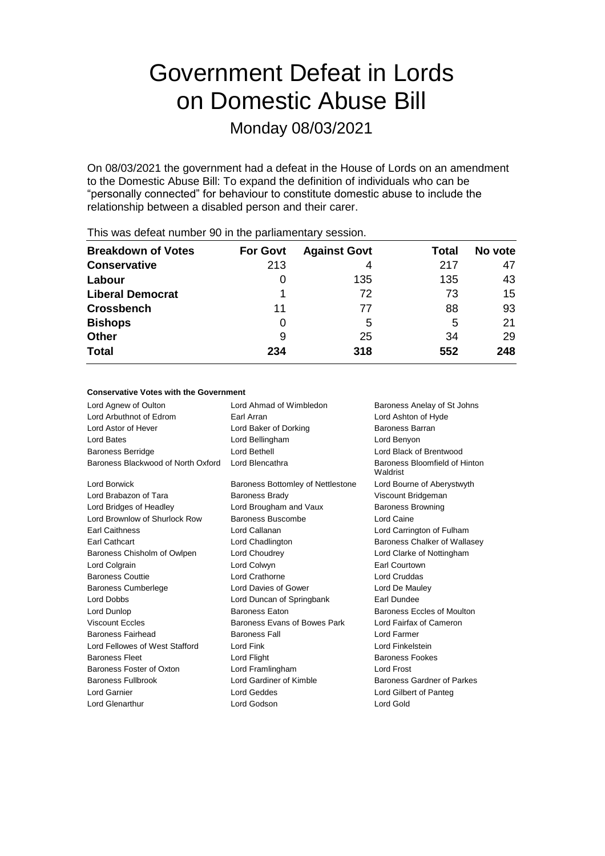# Government Defeat in Lords on Domestic Abuse Bill

Monday 08/03/2021

On 08/03/2021 the government had a defeat in the House of Lords on an amendment to the Domestic Abuse Bill: To expand the definition of individuals who can be "personally connected" for behaviour to constitute domestic abuse to include the relationship between a disabled person and their carer.

| <b>For Govt</b> | <b>Against Govt</b> | Total | No vote |
|-----------------|---------------------|-------|---------|
| 213             | 4                   | 217   | 47      |
| $\Omega$        | 135                 | 135   | 43      |
|                 | 72                  | 73    | 15      |
| 11              | 77                  | 88    | 93      |
| 0               | 5                   | 5     | 21      |
| 9               | 25                  | 34    | 29      |
| 234             | 318                 | 552   | 248     |
|                 |                     |       |         |

This was defeat number 90 in the parliamentary session.

#### **Conservative Votes with the Government**

| Lord Agnew of Oulton               | Lord Ahmad of Wimbledon           | Baroness Anelay of St Johns               |
|------------------------------------|-----------------------------------|-------------------------------------------|
| Lord Arbuthnot of Edrom            | Earl Arran                        | Lord Ashton of Hyde                       |
| Lord Astor of Hever                | Lord Baker of Dorking             | <b>Baroness Barran</b>                    |
| Lord Bates                         | Lord Bellingham                   | Lord Benyon                               |
| <b>Baroness Berridge</b>           | Lord Bethell                      | Lord Black of Brentwood                   |
| Baroness Blackwood of North Oxford | Lord Blencathra                   | Baroness Bloomfield of Hinton<br>Waldrist |
| <b>Lord Borwick</b>                | Baroness Bottomley of Nettlestone | Lord Bourne of Aberystwyth                |
| Lord Brabazon of Tara              | <b>Baroness Brady</b>             | Viscount Bridgeman                        |
| Lord Bridges of Headley            | Lord Brougham and Vaux            | <b>Baroness Browning</b>                  |
| Lord Brownlow of Shurlock Row      | Baroness Buscombe                 | Lord Caine                                |
| <b>Earl Caithness</b>              | Lord Callanan                     | Lord Carrington of Fulham                 |
| Earl Cathcart                      | Lord Chadlington                  | Baroness Chalker of Wallasey              |
| Baroness Chisholm of Owlpen        | Lord Choudrey                     | Lord Clarke of Nottingham                 |
| Lord Colgrain                      | Lord Colwyn                       | Earl Courtown                             |
| <b>Baroness Couttie</b>            | Lord Crathorne                    | Lord Cruddas                              |
| <b>Baroness Cumberlege</b>         | Lord Davies of Gower              | Lord De Mauley                            |
| Lord Dobbs                         | Lord Duncan of Springbank         | Earl Dundee                               |
| Lord Dunlop                        | <b>Baroness Eaton</b>             | Baroness Eccles of Moulton                |
| <b>Viscount Eccles</b>             | Baroness Evans of Bowes Park      | Lord Fairfax of Cameron                   |
| <b>Baroness Fairhead</b>           | <b>Baroness Fall</b>              | Lord Farmer                               |
| Lord Fellowes of West Stafford     | Lord Fink                         | Lord Finkelstein                          |
| <b>Baroness Fleet</b>              | Lord Flight                       | <b>Baroness Fookes</b>                    |
| Baroness Foster of Oxton           | Lord Framlingham                  | <b>Lord Frost</b>                         |
| <b>Baroness Fullbrook</b>          | Lord Gardiner of Kimble           | Baroness Gardner of Parkes                |
| Lord Garnier                       | Lord Geddes                       | Lord Gilbert of Panteg                    |
| Lord Glenarthur                    | Lord Godson                       | Lord Gold                                 |
|                                    |                                   |                                           |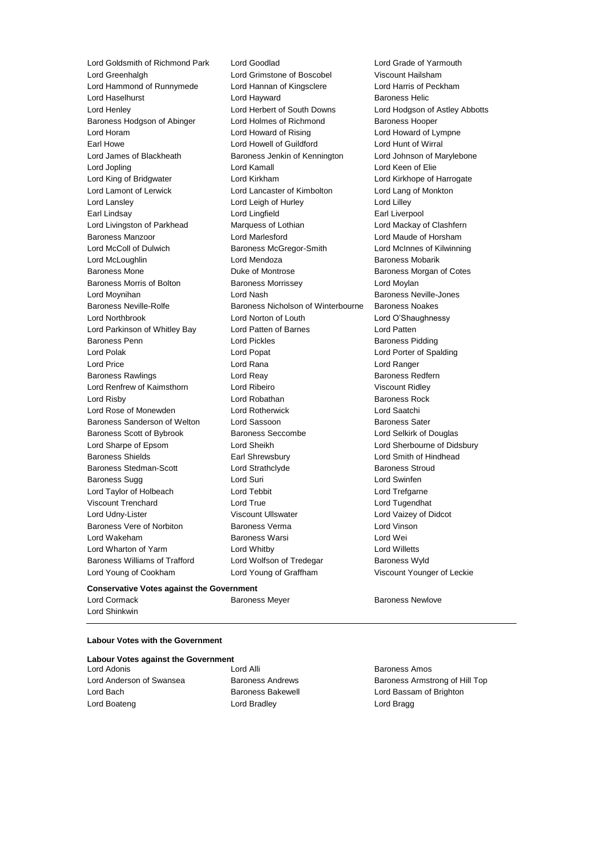Lord Greenhalgh **Lord Grimstone of Boscobel** Viscount Hailsham<br>
Lord Hammond of Runnymede Lord Hannan of Kingsclere Lord Harris of Peckham Lord Hammond of Runnymede Lord Hannan of Kingsclere Lord Haselhurst **Lord Hayward** Baroness Helic Lord Henley Lord Herbert of South Downs Lord Hodgson of Astley Abbotts Baroness Hodgson of Abinger Lord Holmes of Richmond Baroness Hooper Lord Horam **Lord Howard of Rising** Lord Howard of Lympne Earl Howe **Lord Howell of Guildford Lord Hunt of Wirral** Lord James of Blackheath Baroness Jenkin of Kennington Lord Johnson of Marylebone Lord Jopling Lord Kamall Lord Keen of Elie Lord King of Bridgwater Lord Kirkham Lord Kirkhope of Harrogate Lord Lamont of Lerwick Lord Lancaster of Kimbolton Lord Lang of Monkton Lord Lansley **Lord Leigh of Hurley** Lord Lord Lilley Earl Lindsay **Lord Lingfield** Earl Liverpool Lord Lingfield Earl Liverpool Lord Livingston of Parkhead Marquess of Lothian Cord Mackay of Clashfern Baroness Manzoor Lord Marlesford Lord Maude of Horsham Lord McColl of Dulwich Baroness McGregor-Smith Lord McInnes of Kilwinning Lord McLoughlin **Lord Mendoza** Baroness Mobarik Baroness Mone **Baroness Montrose** Baroness Morgan of Cotes Baroness Morris of Bolton **Baroness Morrissey Baroness Morrissey** Lord Moylan Lord Moynihan **Community** Cord Nash **Baroness Neville-Jones** Lord Nash Baroness Neville-Jones Baroness Neville-Rolfe **Baroness Nicholson of Winterbourne** Baroness Noakes Lord Northbrook Lord Norton of Louth Lord O'Shaughnessy Lord Parkinson of Whitley Bay Lord Patten of Barnes Lord Patten Baroness Penn **Exercise Set Exercise Set Access** Lord Pickles **Baroness Pidding** Lord Polak Lord Popat Lord Porter of Spalding Lord Price **Lord Rana** Lord Rana Lord Ranger Baroness Rawlings **Rawlings Lord Reay 1996 Baroness Redfern** Lord Renfrew of Kaimsthorn Lord Ribeiro Viscount Ridley Lord Risby Lord Robathan Baroness Rock Lord Rose of Monewden Lord Rotherwick Lord Saatchi Baroness Sanderson of Welton Lord Sassoon and Baroness Sater Baroness Scott of Bybrook Baroness Seccombe Lord Selkirk of Douglas Lord Sharpe of Epsom Lord Sheikh Lord Sherbourne of Didsbury Baroness Shields Earl Shrewsbury Lord Smith of Hindhead Baroness Stedman-Scott Lord Strathclyde Baroness Stroud Baroness Sugg 
and Buri Lord Suri 
Baroness Sugg 
and Lord Swinfen Lord Taylor of Holbeach Lord Tebbit Lord Trefgarne Viscount Trenchard Lord True Lord Tugendhat Lord Udny-Lister Viscount Ullswater Lord Vaizey of Didcot Baroness Vere of Norbiton Baroness Verma Lord Vinson Lord Wakeham Baroness Warsi Lord Wei Lord Wharton of Yarm Lord Whitby Lord Willetts Baroness Williams of Trafford Lord Wolfson of Tredegar Baroness Wyld Lord Young of Cookham Lord Young of Graffham Viscount Younger of Leckie

Lord Goldsmith of Richmond Park Lord Goodlad Lord Grade of Yarmouth

#### **Conservative Votes against the Government**

Lord Cormack **Baroness Meyer** Baroness Meyer **Baroness Newlove** Lord Shinkwin

#### **Labour Votes with the Government**

## **Labour Votes against the Government**

Lord Bach **Baroness Bakewell Baroness Bakewell Lord Bassam of Brighton** Lord Boateng **Lord Bradley** Lord Bradley **Lord Bragg** 

Lord Adonis Lord Alli Baroness Amos

Lord Anderson of Swansea **Baroness Andrews** Baroness Andrews Baroness Armstrong of Hill Top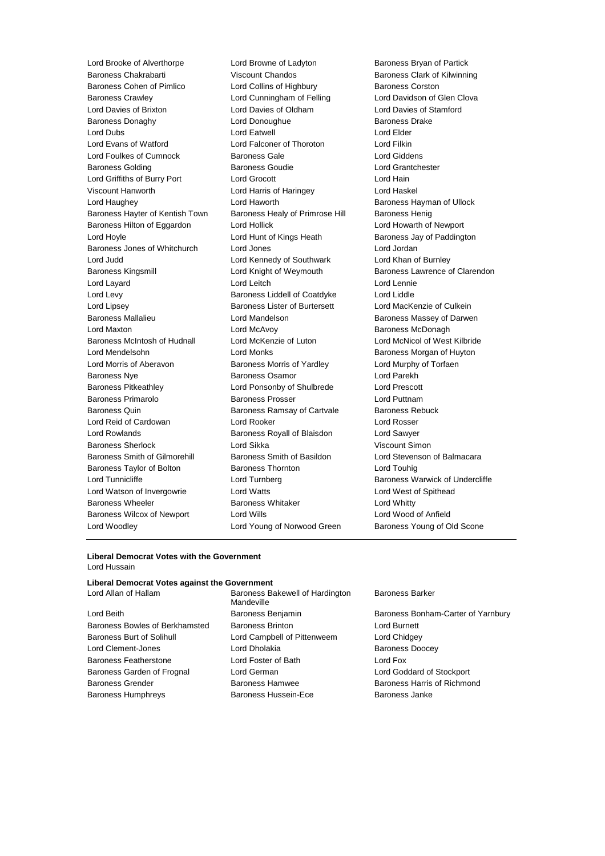Lord Brooke of Alverthorpe Lord Browne of Ladyton Baroness Bryan of Partick Baroness Chakrabarti Viscount Chandos Baroness Clark of Kilwinning Baroness Cohen of Pimlico **Lord Collins of Highbury** Baroness Corston Baroness Crawley Lord Cunningham of Felling Lord Davidson of Glen Clova Lord Davies of Brixton Lord Davies of Oldham Lord Davies of Stamford Baroness Donaghy **Lord Donoughue** Baroness Drake Baroness Drake Lord Dubs Lord Eatwell Lord Elder Lord Evans of Watford Lord Falconer of Thoroton Lord Filkin Lord Foulkes of Cumnock Baroness Gale Lord Giddens Baroness Golding Baroness Goudie Lord Grantchester Lord Griffiths of Burry Port Lord Grocott Lord Hain Viscount Hanworth Lord Harris of Haringey Lord Haskel Lord Haughey Lord Haworth Baroness Hayman of Ullock Baroness Hayter of Kentish Town Baroness Healy of Primrose Hill Baroness Henig Baroness Hilton of Eggardon Lord Hollick Lord Howarth of Newport Lord Hoyle **Lord Hunt of Kings Heath** Baroness Jay of Paddington Baroness Jones of Whitchurch Lord Jones Lord Jordan Lord Judd Lord Kennedy of Southwark Lord Khan of Burnley Baroness Kingsmill **Example 2** Lord Knight of Weymouth **Baroness Lawrence of Clarendon** Lord Layard Lord Leitch Lord Lennie Lord Levy Baroness Liddell of Coatdyke Lord Liddle Lord Lipsey Baroness Lister of Burtersett Lord MacKenzie of Culkein Baroness Mallalieu **Baroness Mallalieu** Lord Mandelson **Baroness Massey of Darwen** Lord Maxton **Lord McAvoy Consumers** Baroness McDonagh Baroness McIntosh of Hudnall Lord McKenzie of Luton Lord McNicol of West Kilbride Lord Mendelsohn Lord Monks Baroness Morgan of Huyton Lord Morris of Aberavon Baroness Morris of Yardley Lord Murphy of Torfaen Baroness Nye **Baroness Osamor** Baroness Osamor **Lord Parekh** Baroness Pitkeathley Lord Ponsonby of Shulbrede Lord Prescott Baroness Primarolo **Baroness Prosser Baroness Prosser** Lord Puttnam Baroness Quin **Baroness Ramsay of Cartvale** Baroness Rebuck Lord Reid of Cardowan Lord Rooker Lord Rosser Lord Rowlands Baroness Royall of Blaisdon Lord Sawyer Baroness Sherlock Lord Sikka Viscount Simon Baroness Smith of Gilmorehill Baroness Smith of Basildon Lord Stevenson of Balmacara Baroness Taylor of Bolton Baroness Thornton Lord Touhig Lord Tunnicliffe **Lord Turnberg** Lord Turnberg **Baroness Warwick of Undercliffe** Lord Watson of Invergowrie Lord Watts Lord West of Spithead Baroness Wheeler **Baroness Whitaker** Lord Whitty Baroness Wilcox of Newport Lord Wills Lord Wood of Anfield Lord Woodley **Lord Young of Norwood Green** Baroness Young of Old Scone

#### **Liberal Democrat Votes with the Government** Lord Hussain

#### **Liberal Democrat Votes against the Government**

Baroness Bowles of Berkhamsted Baroness Brinton Lord Burnett Lord Burnett Baroness Burt of Solihull Lord Campbell of Pittenweem Lord Chidgey Lord Clement-Jones **Lord Dholakia Lord Dholakia** Baroness Doocey Baroness Featherstone Lord Foster of Bath Lord Fox Baroness Garden of Frognal Lord German Lord Goddard of Stockport Baroness Grender **Baroness Hamwee** Baroness Harris of Richmond Baroness Humphreys **Baroness Hussein-Ece** Baroness Janke

Lord Allan of Hallam Baroness Bakewell of Hardington Mandeville

#### Baroness Barker

Lord Beith **Baroness Benjamin** Baroness Benjamin Baroness Bonham-Carter of Yarnbury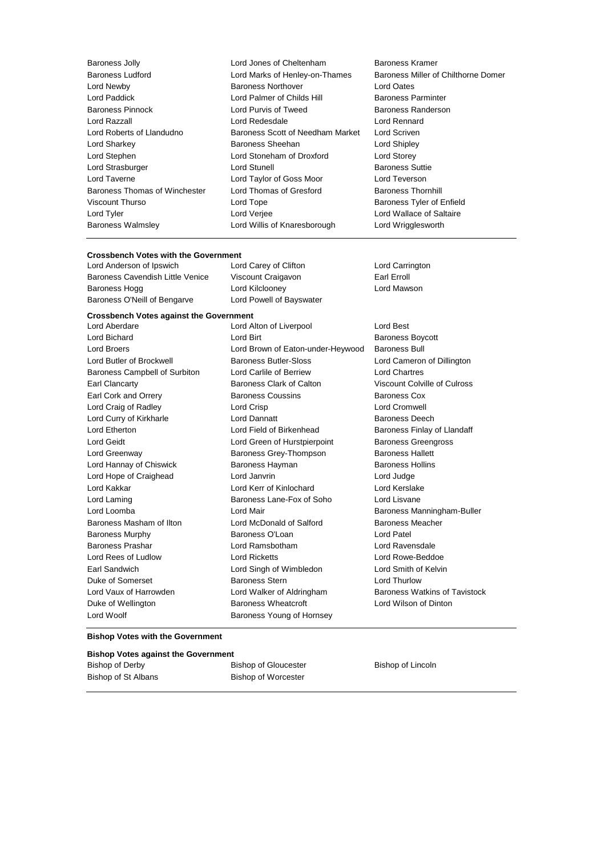| Baroness Jolly                |
|-------------------------------|
| <b>Baroness Ludford</b>       |
| Lord Newby                    |
| Lord Paddick                  |
| Baroness Pinnock              |
| Lord Razzall                  |
| Lord Roberts of Llandudno     |
| Lord Sharkey                  |
| Lord Stephen                  |
| Lord Strasburger              |
| Lord Taverne                  |
| Baroness Thomas of Winchester |
| Viscount Thurso               |
| Lord Tyler                    |
| <b>Baroness Walmsley</b>      |
|                               |

Lord Jones of Cheltenham Baroness Kramer Lord Marks of Henley-on-Thames Baroness Miller of Chilthorne Domer **Baroness Northover Lord Oates** Lord Palmer of Childs Hill Baroness Parminter Lord Purvis of Tweed Baroness Randerson Lord Razzall Lord Redesdale Lord Rennard Baroness Scott of Needham Market Lord Scriven Baroness Sheehan Lord Shipley Lord Stoneham of Droxford Lord Storey Lord Stunell **Baroness** Suttie Lord Taylor of Goss Moor Lord Teverson Lord Thomas of Gresford Baroness Thornhill Lord Tope Baroness Tyler of Enfield Lord Verjee **Lord Verget Lord Wallace of Saltaire** Lord Willis of Knaresborough Lord Wrigglesworth

# **Crossbench Votes with the Government**<br>
Lord Anderson of Ipswich
Lord Carey of Clifton

Lord Anderson of Ipswich Lord Carey of Clifton Lord Carrington Baroness Cavendish Little Venice Viscount Craigavon Earl Erroll

Baroness Hogg Lord Kilclooney Lord Mawson Baroness O'Neill of Bengarve Lord Powell of Bayswater

#### **Crossbench Votes against the Government**

Lord Woolf **Baroness Young of Hornsey** 

Lord Aberdare Lord Alton of Liverpool Lord Best Lord Bichard **Lord Birt Lord Birt Baroness Boycott** Lord Broers Lord Brown of Eaton-under-Heywood Baroness Bull Lord Butler of Brockwell Baroness Butler-Sloss Lord Cameron of Dillington Baroness Campbell of Surbiton Lord Carlile of Berriew Lord Chartres Earl Clancarty Baroness Clark of Calton Viscount Colville of Culross Earl Cork and Orrery **Baroness Coussins** Baroness Cox Lord Craig of Radley Lord Crisp Lord Cromwell Lord Curry of Kirkharle **Lord Dannatt Lord Dannatt** Baroness Deech Lord Etherton **Lord Field of Birkenhead** Baroness Finlay of Llandaff Lord Geidt Lord Green of Hurstpierpoint Baroness Greengross Lord Greenway Baroness Grey-Thompson Baroness Hallett Lord Hannay of Chiswick **Baroness Hayman** Baroness Hollins Lord Hope of Craighead Lord Janvrin Lord Judge Lord Kakkar Lord Kerr of Kinlochard Lord Kerslake Lord Laming **Baroness Lane-Fox of Soho** Lord Lisvane Lord Loomba **Lord Mair** Baroness Manningham-Buller Baroness Masham of Ilton Lord McDonald of Salford Baroness Meacher Baroness Murphy Baroness O'Loan Lord Patel Baroness Prashar Lord Ramsbotham Lord Ravensdale Lord Rees of Ludlow Lord Ricketts Lord Rowe-Beddoe Earl Sandwich Lord Singh of Wimbledon Lord Smith of Kelvin Duke of Somerset Baroness Stern Lord Thurlow Lord Vaux of Harrowden **Lord Walker of Aldringham** Baroness Watkins of Tavistock Duke of Wellington Baroness Wheatcroft Lord Wilson of Dinton

#### **Bishop Votes with the Government**

| <b>Bishop Votes against the Government</b> |                             |                   |  |  |  |
|--------------------------------------------|-----------------------------|-------------------|--|--|--|
| Bishop of Derby                            | <b>Bishop of Gloucester</b> | Bishop of Lincoln |  |  |  |
| Bishop of St Albans                        | Bishop of Worcester         |                   |  |  |  |